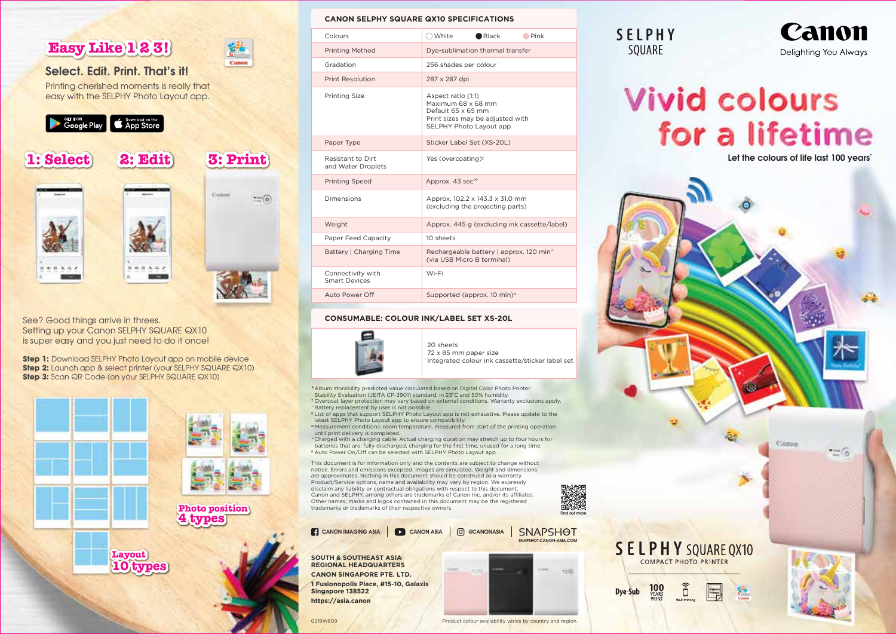

## See? Good things arrive in threes. Setting up your Canon SELPHY SQUARE QX10 is super easy and you just need to do it once!

**Step 1:** Download SELPHY Photo Layout app on mobile device **Step 2:** Launch app & select printer (your SELPHY SQUARE QX10) **Step 3:** Scan QR Code (on your SELPHY SQUARE QX10)



#### **CANON SELPHY SQUARE QX10 SPECIFICATIONS**

|                                                       | Colours                                   | $\bigcirc$ White<br>$\bigcirc$ Black<br>$\blacksquare$ Pink                                                                   | <b>SELPHY</b>                          | Canon                                   |
|-------------------------------------------------------|-------------------------------------------|-------------------------------------------------------------------------------------------------------------------------------|----------------------------------------|-----------------------------------------|
| <b>P123!</b><br>ýH,                                   | <b>Printing Method</b>                    | Dye-sublimation thermal transfer                                                                                              | SQUARE                                 | Delighting You Always                   |
| Canon<br><b>Print. That's it!</b>                     | Gradation                                 | 256 shades per colour                                                                                                         |                                        |                                         |
| I moments is really that                              | Print Resolution                          | 287 x 287 dpi                                                                                                                 |                                        |                                         |
| PHY Photo Layout app.<br>Download on the<br>App Store | <b>Printing Size</b>                      | Aspect ratio (1:1)<br>Maximum 68 x 68 mm<br>Default 65 x 65 mm<br>Print sizes may be adjusted with<br>SELPHY Photo Layout app | <b>Vivid colours</b><br>for a lifetime |                                         |
|                                                       | Paper Type                                | Sticker Label Set (XS-20L)                                                                                                    |                                        |                                         |
| <b>3: Print</b><br>2: Edit                            | Resistant to Dirt<br>and Water Droplets   | Yes (overcoating) <sup>1</sup>                                                                                                |                                        | Let the colours of life last 100 years' |
|                                                       | <b>Printing Speed</b>                     | Approx. 43 sec <sup>∞</sup>                                                                                                   |                                        |                                         |
| Canon<br>$-$ (0)                                      | Dimensions                                | Approx, 102.2 x 143.3 x 31.0 mm<br>(excluding the projecting parts)                                                           |                                        |                                         |
|                                                       | Weight                                    | Approx. 445 g (excluding ink cassette/label)                                                                                  |                                        |                                         |
|                                                       | Paper Feed Capacity                       | 10 sheets                                                                                                                     |                                        |                                         |
|                                                       | Battery   Charging Time                   | Rechargeable battery   approx. 120 min^<br>(via USB Micro B terminal)                                                         |                                        |                                         |
|                                                       | Connectivity with<br><b>Smart Devices</b> | Wi-Fi                                                                                                                         |                                        |                                         |
|                                                       | Auto Power Off                            | Supported (approx. 10 min) <sup>4</sup>                                                                                       |                                        |                                         |

### **CONSUMABLE: COLOUR INK/LABEL SET XS-20L**



20 sheets 72 x 85 mm paper size Integrated colour ink cassette/sticker label set

Product colour availability varies by country and region.

SNAPSHOT.CANON-ASIA.COM

SNAPSHOT

\*Album storability predicted value calculated based on Digital Color Photo Printer Stability Evaluation (JEITA CP-3901) standard, in 23°C and 50% humidity. ‡ Overcoat layer protection may vary based on external conditions. Warranty exclusions apply. ~Battery replacement by user is not possible.

◊ List of apps that support SELPHY Photo Layout app is not exhaustive. Please update to the latest SELPHY Photo Layout app to ensure compatibility.

∞Measurement conditions: room temperature, measured from start of the printing operation until print delivery is completed.

^ Charged with a charging cable. Actual charging duration may stretch up to four hours for batteries that are: fully discharged, charging for the first time, unused for a long time. <sup>∆</sup>Auto Power On/Off can be selected with SELPHY Photo Layout app.

This document is for information only and the contents are subject to change without notice. Errors and omissions excepted. Images are simulated. Weight and dimensions are approximates. Nothing in this document should be construed as a warranty. Product/Service options, name and availability may vary by region. We expressly disclaim any liability or contractual obligations with respect to this document. Canon and SELPHY, among others are trademarks of Canon Inc. and/or its affiliates. Other names, marks and logos contained in this document may be the registered trademarks or trademarks of their respective owners.



**SOUTH & SOUTHEAST ASIA REGIONAL HEADQUARTERS CANON SINGAPORE PTE. LTD. 1 Fusionopolis Place, #15-10, Galaxis Singapore 138522 https://asia.canon**

0219W809

## Canon Delighting You Always

# **Vivid colours** for a lifetime